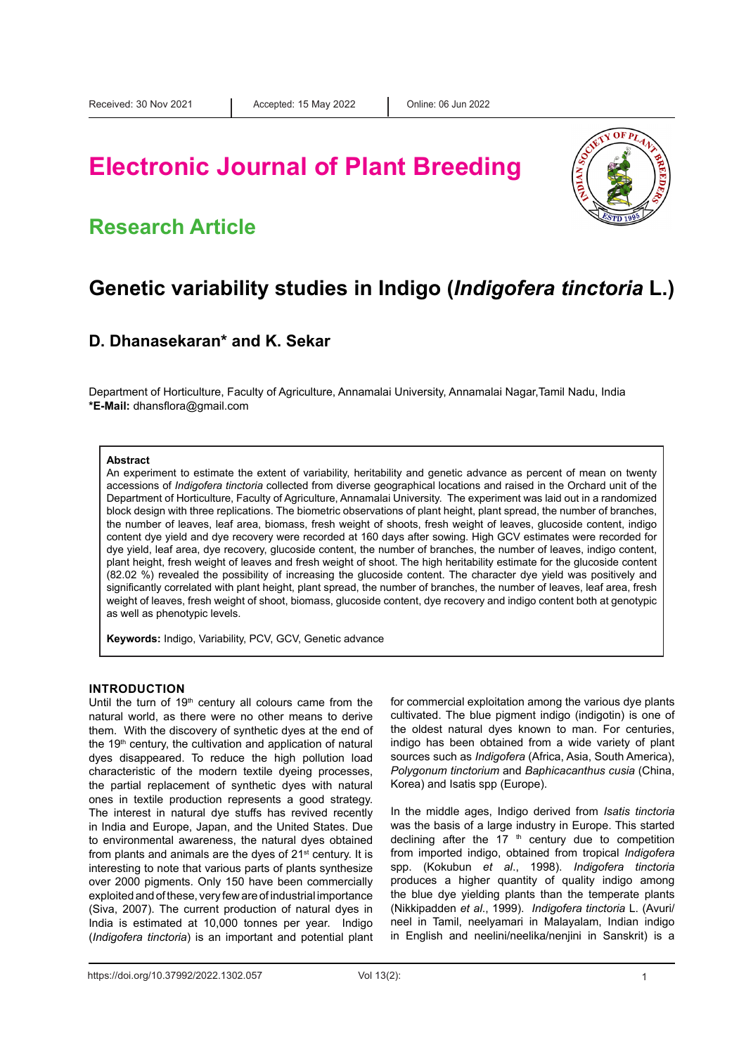# **Electronic Journal of Plant Breeding**

### **Research Article**

## **Genetic variability studies in Indigo (***Indigofera tinctoria* **L.)**

### **D. Dhanasekaran\* and K. Sekar**

Department of Horticulture, Faculty of Agriculture, Annamalai University, Annamalai Nagar,Tamil Nadu, India **\*E-Mail:** dhansflora@gmail.com

#### **Abstract**

An experiment to estimate the extent of variability, heritability and genetic advance as percent of mean on twenty accessions of *Indigofera tinctoria* collected from diverse geographical locations and raised in the Orchard unit of the Department of Horticulture, Faculty of Agriculture, Annamalai University. The experiment was laid out in a randomized block design with three replications. The biometric observations of plant height, plant spread, the number of branches, the number of leaves, leaf area, biomass, fresh weight of shoots, fresh weight of leaves, glucoside content, indigo content dye yield and dye recovery were recorded at 160 days after sowing. High GCV estimates were recorded for dye yield, leaf area, dye recovery, glucoside content, the number of branches, the number of leaves, indigo content, plant height, fresh weight of leaves and fresh weight of shoot. The high heritability estimate for the glucoside content (82.02 %) revealed the possibility of increasing the glucoside content. The character dye yield was positively and significantly correlated with plant height, plant spread, the number of branches, the number of leaves, leaf area, fresh weight of leaves, fresh weight of shoot, biomass, glucoside content, dye recovery and indigo content both at genotypic as well as phenotypic levels.

**Keywords:** Indigo, Variability, PCV, GCV, Genetic advance

#### **INTRODUCTION**

Until the turn of  $19<sup>th</sup>$  century all colours came from the natural world, as there were no other means to derive them. With the discovery of synthetic dyes at the end of the  $19<sup>th</sup>$  century, the cultivation and application of natural dyes disappeared. To reduce the high pollution load characteristic of the modern textile dyeing processes, the partial replacement of synthetic dyes with natural ones in textile production represents a good strategy. The interest in natural dye stuffs has revived recently in India and Europe, Japan, and the United States. Due to environmental awareness, the natural dyes obtained from plants and animals are the dyes of  $21<sup>st</sup>$  century. It is interesting to note that various parts of plants synthesize over 2000 pigments. Only 150 have been commercially exploited and of these, very few are of industrial importance (Siva, 2007). The current production of natural dyes in India is estimated at 10,000 tonnes per year. Indigo (*Indigofera tinctoria*) is an important and potential plant for commercial exploitation among the various dye plants cultivated. The blue pigment indigo (indigotin) is one of the oldest natural dyes known to man. For centuries, indigo has been obtained from a wide variety of plant sources such as *Indigofera* (Africa, Asia, South America), *Polygonum tinctorium* and *Baphicacanthus cusia* (China, Korea) and Isatis spp (Europe).

In the middle ages, Indigo derived from *Isatis tinctoria* was the basis of a large industry in Europe. This started declining after the  $17$ <sup>th</sup> century due to competition from imported indigo, obtained from tropical *Indigofera*  spp. (Kokubun *et al*., 1998). *Indigofera tinctoria* produces a higher quantity of quality indigo among the blue dye yielding plants than the temperate plants (Nikkipadden *et al*., 1999). *Indigofera tinctoria* L. (Avuri/ neel in Tamil, neelyamari in Malayalam, Indian indigo in English and neelini/neelika/nenjini in Sanskrit) is a

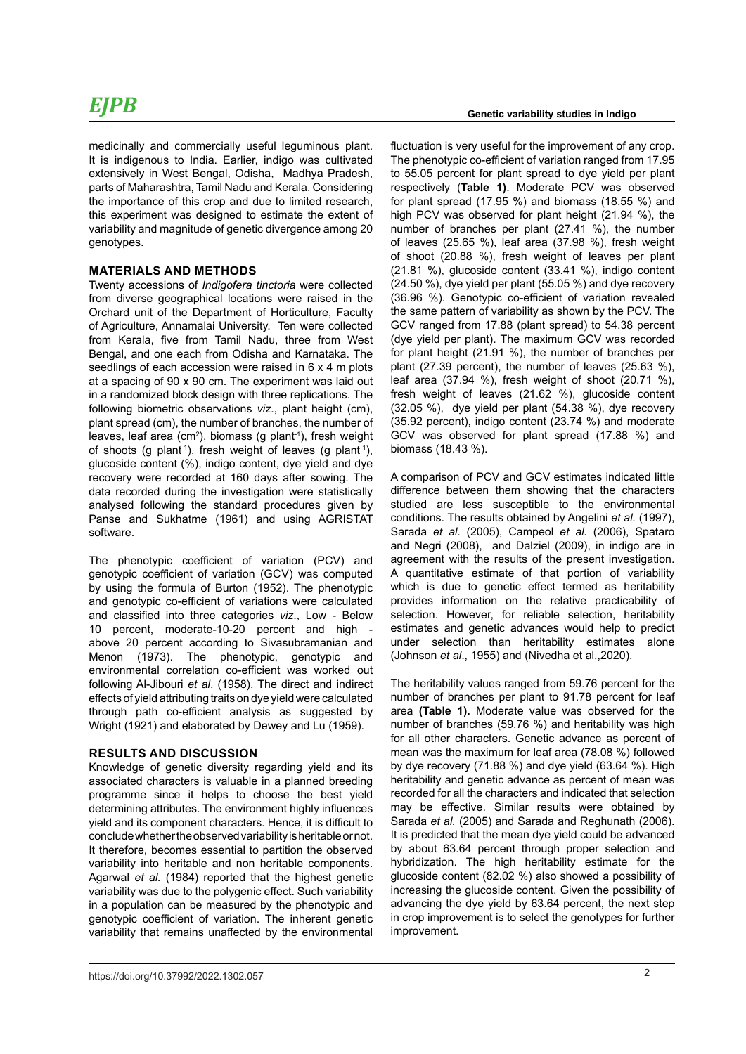# *EJPB*

medicinally and commercially useful leguminous plant. It is indigenous to India. Earlier, indigo was cultivated extensively in West Bengal, Odisha, Madhya Pradesh, parts of Maharashtra, Tamil Nadu and Kerala. Considering the importance of this crop and due to limited research, this experiment was designed to estimate the extent of variability and magnitude of genetic divergence among 20 genotypes.

#### **MATERIALS AND METHODS**

Twenty accessions of *Indigofera tinctoria* were collected from diverse geographical locations were raised in the Orchard unit of the Department of Horticulture, Faculty of Agriculture, Annamalai University. Ten were collected from Kerala, five from Tamil Nadu, three from West Bengal, and one each from Odisha and Karnataka. The seedlings of each accession were raised in 6 x 4 m plots at a spacing of 90 x 90 cm. The experiment was laid out in a randomized block design with three replications. The following biometric observations *viz*., plant height (cm), plant spread (cm), the number of branches, the number of leaves, leaf area (cm<sup>2</sup>), biomass (g plant<sup>-1</sup>), fresh weight of shoots (g plant<sup>1</sup>), fresh weight of leaves (g plant<sup>1</sup>), glucoside content (%), indigo content, dye yield and dye recovery were recorded at 160 days after sowing. The data recorded during the investigation were statistically analysed following the standard procedures given by Panse and Sukhatme (1961) and using AGRISTAT software.

The phenotypic coefficient of variation (PCV) and genotypic coefficient of variation (GCV) was computed by using the formula of Burton (1952). The phenotypic and genotypic co-efficient of variations were calculated and classified into three categories *viz*., Low - Below 10 percent, moderate-10-20 percent and high above 20 percent according to Sivasubramanian and Menon (1973). The phenotypic, genotypic and environmental correlation co-efficient was worked out following Al-Jibouri *et al*. (1958). The direct and indirect effects of yield attributing traits on dye yield were calculated through path co-efficient analysis as suggested by Wright (1921) and elaborated by Dewey and Lu (1959).

#### **RESULTS AND DISCUSSION**

Knowledge of genetic diversity regarding yield and its associated characters is valuable in a planned breeding programme since it helps to choose the best yield determining attributes. The environment highly influences yield and its component characters. Hence, it is difficult to conclude whether the observed variability is heritable or not. It therefore, becomes essential to partition the observed variability into heritable and non heritable components. Agarwal *et al.* (1984) reported that the highest genetic variability was due to the polygenic effect. Such variability in a population can be measured by the phenotypic and genotypic coefficient of variation. The inherent genetic variability that remains unaffected by the environmental fluctuation is very useful for the improvement of any crop. The phenotypic co-efficient of variation ranged from 17.95 to 55.05 percent for plant spread to dye yield per plant respectively (**Table 1)**. Moderate PCV was observed for plant spread (17.95 %) and biomass (18.55 %) and high PCV was observed for plant height (21.94 %), the number of branches per plant (27.41 %), the number of leaves (25.65 %), leaf area (37.98 %), fresh weight of shoot (20.88 %), fresh weight of leaves per plant (21.81 %), glucoside content (33.41 %), indigo content (24.50 %), dye yield per plant (55.05 %) and dye recovery (36.96 %). Genotypic co-efficient of variation revealed the same pattern of variability as shown by the PCV. The GCV ranged from 17.88 (plant spread) to 54.38 percent (dye yield per plant). The maximum GCV was recorded for plant height (21.91 %), the number of branches per plant (27.39 percent), the number of leaves (25.63 %), leaf area (37.94 %), fresh weight of shoot (20.71 %), fresh weight of leaves (21.62 %), glucoside content (32.05 %), dye yield per plant (54.38 %), dye recovery (35.92 percent), indigo content (23.74 %) and moderate GCV was observed for plant spread (17.88 %) and biomass (18.43 %).

A comparison of PCV and GCV estimates indicated little difference between them showing that the characters studied are less susceptible to the environmental conditions. The results obtained by Angelini *et al.* (1997), Sarada *et al.* (2005), Campeol *et al.* (2006), Spataro and Negri (2008), and Dalziel (2009), in indigo are in agreement with the results of the present investigation. A quantitative estimate of that portion of variability which is due to genetic effect termed as heritability provides information on the relative practicability of selection. However, for reliable selection, heritability estimates and genetic advances would help to predict under selection than heritability estimates alone (Johnson *et al*., 1955) and (Nivedha et al.,2020).

The heritability values ranged from 59.76 percent for the number of branches per plant to 91.78 percent for leaf area **(Table 1).** Moderate value was observed for the number of branches (59.76 %) and heritability was high for all other characters. Genetic advance as percent of mean was the maximum for leaf area (78.08 %) followed by dye recovery  $(71.88\%)$  and dye yield  $(63.64\%)$ . High heritability and genetic advance as percent of mean was recorded for all the characters and indicated that selection may be effective. Similar results were obtained by Sarada *et al.* (2005) and Sarada and Reghunath (2006). It is predicted that the mean dye yield could be advanced by about 63.64 percent through proper selection and hybridization. The high heritability estimate for the glucoside content (82.02 %) also showed a possibility of increasing the glucoside content. Given the possibility of advancing the dye yield by 63.64 percent, the next step in crop improvement is to select the genotypes for further improvement.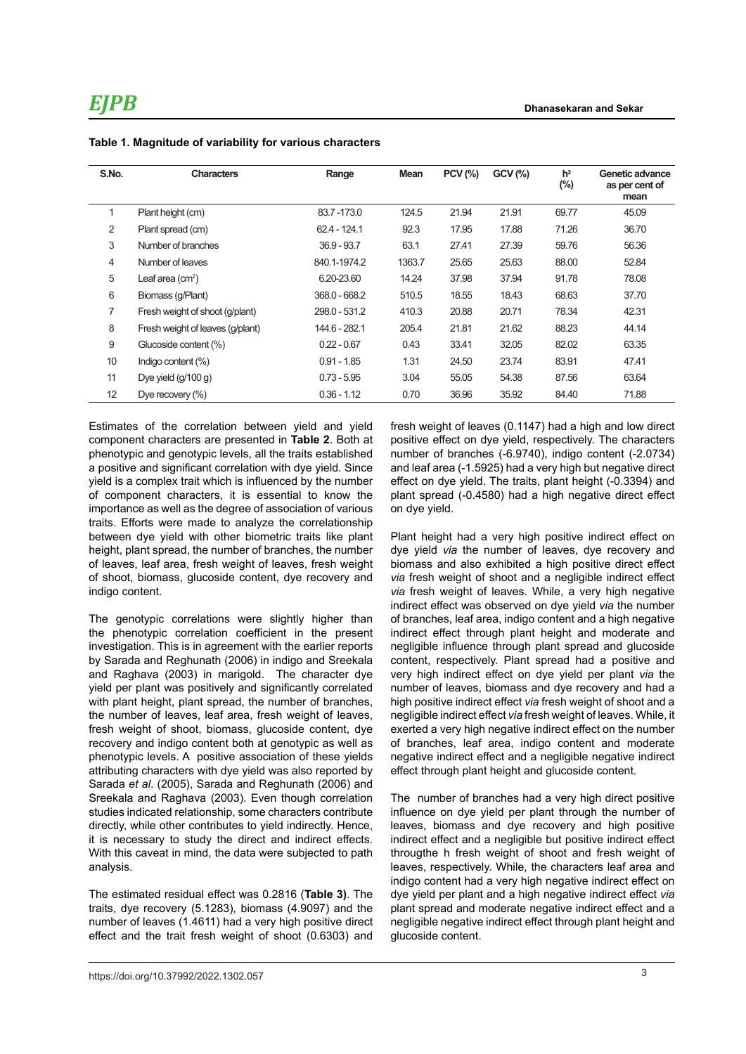| S.No.          | <b>Characters</b>                | Range          | Mean   | $PCV$ $\left(\frac{9}{6}\right)$ | GCV(%) | h <sup>2</sup><br>(%) | Genetic advance<br>as per cent of<br>mean |
|----------------|----------------------------------|----------------|--------|----------------------------------|--------|-----------------------|-------------------------------------------|
| 1              | Plant height (cm)                | 83.7-173.0     | 124.5  | 21.94                            | 21.91  | 69.77                 | 45.09                                     |
| 2              | Plant spread (cm)                | $62.4 - 124.1$ | 92.3   | 17.95                            | 17.88  | 71.26                 | 36.70                                     |
| 3              | Number of branches               | $36.9 - 93.7$  | 63.1   | 27.41                            | 27.39  | 59.76                 | 56.36                                     |
| $\overline{4}$ | Number of leaves                 | 840.1-1974.2   | 1363.7 | 25.65                            | 25.63  | 88.00                 | 52.84                                     |
| 5              | Leaf area $\rm (cm^2)$           | 6.20-23.60     | 14.24  | 37.98                            | 37.94  | 91.78                 | 78.08                                     |
| 6              | Biomass (g/Plant)                | 368.0 - 668.2  | 510.5  | 18.55                            | 18.43  | 68.63                 | 37.70                                     |
| 7              | Fresh weight of shoot (g/plant)  | 298.0 - 531.2  | 410.3  | 20.88                            | 20.71  | 78.34                 | 42.31                                     |
| 8              | Fresh weight of leaves (g/plant) | 144.6 - 282.1  | 205.4  | 21.81                            | 21.62  | 88.23                 | 44.14                                     |
| 9              | Glucoside content (%)            | $0.22 - 0.67$  | 0.43   | 33.41                            | 32.05  | 82.02                 | 63.35                                     |
| 10             | Indigo content (%)               | $0.91 - 1.85$  | 1.31   | 24.50                            | 23.74  | 83.91                 | 47.41                                     |
| 11             | Dye yield $(g/100 g)$            | $0.73 - 5.95$  | 3.04   | 55.05                            | 54.38  | 87.56                 | 63.64                                     |
| 12             | Dye recovery $(\% )$             | $0.36 - 1.12$  | 0.70   | 36.96                            | 35.92  | 84.40                 | 71.88                                     |

#### **Table 1. Magnitude of variability for various characters**

Estimates of the correlation between yield and yield component characters are presented in **Table 2**. Both at phenotypic and genotypic levels, all the traits established a positive and significant correlation with dye vield. Since yield is a complex trait which is influenced by the number of component characters, it is essential to know the importance as well as the degree of association of various traits. Efforts were made to analyze the correlationship between dye yield with other biometric traits like plant height, plant spread, the number of branches, the number of leaves, leaf area, fresh weight of leaves, fresh weight of shoot, biomass, glucoside content, dye recovery and indigo content.

The genotypic correlations were slightly higher than the phenotypic correlation coefficient in the present investigation. This is in agreement with the earlier reports by Sarada and Reghunath (2006) in indigo and Sreekala and Raghava (2003) in marigold. The character dye yield per plant was positively and significantly correlated with plant height, plant spread, the number of branches, the number of leaves, leaf area, fresh weight of leaves, fresh weight of shoot, biomass, glucoside content, dye recovery and indigo content both at genotypic as well as phenotypic levels. A positive association of these yields attributing characters with dye yield was also reported by Sarada *et al*. (2005), Sarada and Reghunath (2006) and Sreekala and Raghava (2003). Even though correlation studies indicated relationship, some characters contribute directly, while other contributes to yield indirectly. Hence, it is necessary to study the direct and indirect effects. With this caveat in mind, the data were subjected to path analysis.

The estimated residual effect was 0.2816 (**Table 3)**. The traits, dye recovery (5.1283), biomass (4.9097) and the number of leaves (1.4611) had a very high positive direct effect and the trait fresh weight of shoot (0.6303) and

fresh weight of leaves (0.1147) had a high and low direct positive effect on dye yield, respectively. The characters number of branches (-6.9740), indigo content (-2.0734) and leaf area (-1.5925) had a very high but negative direct effect on dye yield. The traits, plant height (-0.3394) and plant spread (-0.4580) had a high negative direct effect on dye yield.

Plant height had a very high positive indirect effect on dye yield *via* the number of leaves, dye recovery and biomass and also exhibited a high positive direct effect *via* fresh weight of shoot and a negligible indirect effect *via* fresh weight of leaves. While, a very high negative indirect effect was observed on dye yield *via* the number of branches, leaf area, indigo content and a high negative indirect effect through plant height and moderate and negligible influence through plant spread and glucoside content, respectively. Plant spread had a positive and very high indirect effect on dye yield per plant *via* the number of leaves, biomass and dye recovery and had a high positive indirect effect *via* fresh weight of shoot and a negligible indirect effect *via* fresh weight of leaves. While, it exerted a very high negative indirect effect on the number of branches, leaf area, indigo content and moderate negative indirect effect and a negligible negative indirect effect through plant height and glucoside content.

The number of branches had a very high direct positive influence on dye yield per plant through the number of leaves, biomass and dye recovery and high positive indirect effect and a negligible but positive indirect effect througthe h fresh weight of shoot and fresh weight of leaves, respectively. While, the characters leaf area and indigo content had a very high negative indirect effect on dye yield per plant and a high negative indirect effect *via* plant spread and moderate negative indirect effect and a negligible negative indirect effect through plant height and glucoside content.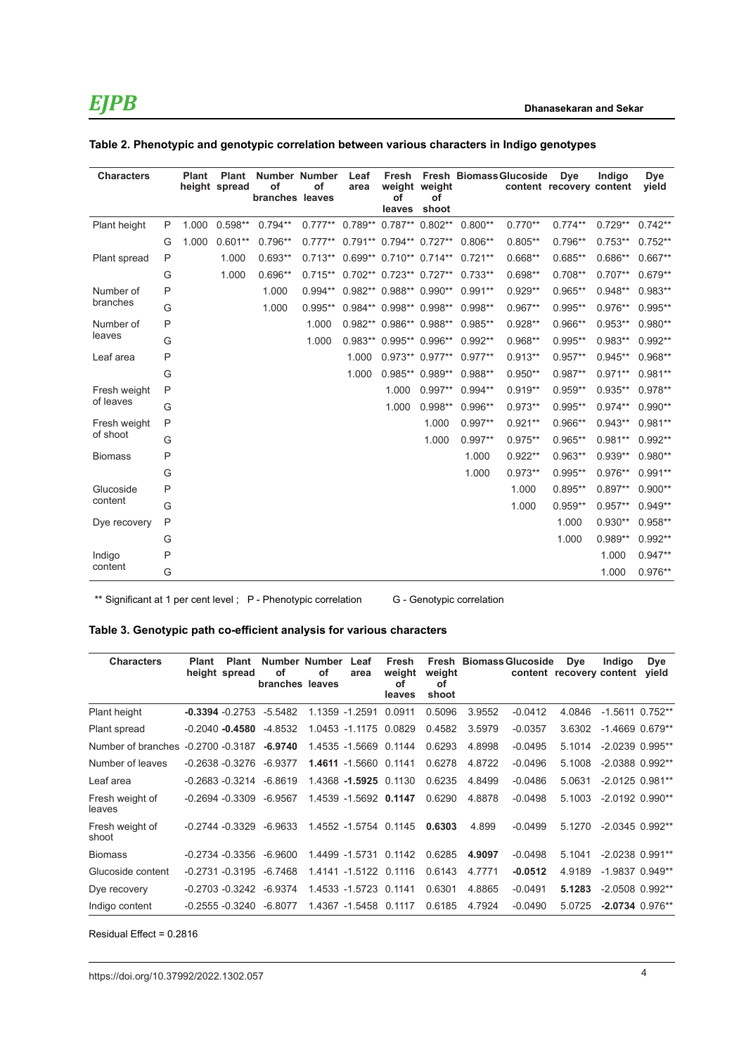## *EJPB*

| <b>Characters</b> |   | <b>Plant</b> | <b>Plant</b><br>height spread | <b>Number Number</b><br>of<br>branches leaves | of        | Leaf<br>area | Fresh<br>of<br>leaves     | weight weight<br>∩f<br>shoot |           | Fresh Biomass Glucoside | <b>Dye</b><br>content recovery content | Indigo    | Dye<br>yield |
|-------------------|---|--------------|-------------------------------|-----------------------------------------------|-----------|--------------|---------------------------|------------------------------|-----------|-------------------------|----------------------------------------|-----------|--------------|
| Plant height      | P | 1.000        | $0.598**$                     | $0.794**$                                     | $0.777**$ |              | 0.789** 0.787** 0.802**   |                              | $0.800**$ | $0.770**$               | $0.774**$                              | $0.729**$ | $0.742**$    |
|                   | G | 1.000        | $0.601**$                     | $0.796**$                                     | $0.777**$ |              | $0.791**$ 0.794** 0.727** |                              | $0.806**$ | $0.805**$               | $0.796**$                              | $0.753**$ | $0.752**$    |
| Plant spread      | P |              | 1.000                         | $0.693**$                                     | $0.713**$ |              | $0.699**0.710**0.714**$   |                              | $0.721**$ | $0.668**$               | $0.685**$                              | $0.686**$ | $0.667**$    |
|                   | G |              | 1.000                         | $0.696**$                                     | $0.715**$ |              | $0.702**$ 0.723** 0.727** |                              | $0.733**$ | $0.698**$               | $0.708**$                              | $0.707**$ | $0.679**$    |
| Number of         | P |              |                               | 1.000                                         | $0.994**$ |              | 0.982** 0.988** 0.990**   |                              | $0.991**$ | $0.929**$               | $0.965**$                              | $0.948**$ | $0.983**$    |
| branches          | G |              |                               | 1.000                                         | $0.995**$ |              | 0.984** 0.998** 0.998**   |                              | $0.998**$ | $0.967**$               | $0.995**$                              | $0.976**$ | 0.995**      |
| Number of         | P |              |                               |                                               | 1.000     |              | 0.982** 0.986** 0.988**   |                              | $0.985**$ | $0.928**$               | $0.966**$                              | $0.953**$ | $0.980**$    |
| leaves            | G |              |                               |                                               | 1.000     |              | 0.983** 0.995** 0.996**   |                              | $0.992**$ | $0.968**$               | $0.995**$                              | $0.983**$ | $0.992**$    |
| Leaf area         | P |              |                               |                                               |           | 1.000        |                           | $0.973**0.977**$             | $0.977**$ | $0.913**$               | $0.957**$                              | $0.945**$ | $0.968**$    |
|                   | G |              |                               |                                               |           | 1.000        |                           | $0.985**0.989**$             | $0.988**$ | $0.950**$               | $0.987**$                              | $0.971**$ | $0.981**$    |
| Fresh weight      | P |              |                               |                                               |           |              | 1.000                     | $0.997**$                    | $0.994**$ | $0.919**$               | $0.959**$                              | $0.935**$ | $0.978**$    |
| of leaves         | G |              |                               |                                               |           |              | 1.000                     | $0.998**$                    | $0.996**$ | $0.973**$               | 0.995**                                | $0.974**$ | $0.990**$    |
| Fresh weight      | P |              |                               |                                               |           |              |                           | 1.000                        | $0.997**$ | $0.921**$               | $0.966**$                              | $0.943**$ | $0.981**$    |
| of shoot          | G |              |                               |                                               |           |              |                           | 1.000                        | $0.997**$ | $0.975**$               | $0.965**$                              | $0.981**$ | $0.992**$    |
| <b>Biomass</b>    | P |              |                               |                                               |           |              |                           |                              | 1.000     | $0.922**$               | $0.963**$                              | $0.939**$ | $0.980**$    |
|                   | G |              |                               |                                               |           |              |                           |                              | 1.000     | $0.973**$               | $0.995**$                              | $0.976**$ | $0.991**$    |
| Glucoside         | P |              |                               |                                               |           |              |                           |                              |           | 1.000                   | $0.895**$                              | $0.897**$ | $0.900**$    |
| content           | G |              |                               |                                               |           |              |                           |                              |           | 1.000                   | $0.959**$                              | $0.957**$ | $0.949**$    |
| Dye recovery      | P |              |                               |                                               |           |              |                           |                              |           |                         | 1.000                                  | $0.930**$ | $0.958**$    |
|                   | G |              |                               |                                               |           |              |                           |                              |           |                         | 1.000                                  | $0.989**$ | $0.992**$    |
| Indigo            | Ρ |              |                               |                                               |           |              |                           |                              |           |                         |                                        | 1.000     | $0.947**$    |
| content           | G |              |                               |                                               |           |              |                           |                              |           |                         |                                        | 1.000     | $0.976**$    |

#### **Table 2. Phenotypic and genotypic correlation between various characters in Indigo genotypes**

\*\* Significant at 1 per cent level ; P - Phenotypic correlation G - Genotypic correlation

### **Table 3. Genotypic path co-efficient analysis for various characters**

| <b>Characters</b>         | <b>Plant</b>       | <b>Plant</b><br>height spread | Number Number<br>οf<br>branches leaves | οf | Leaf<br>area           | Fresh<br>weight<br>οf<br>leaves | weight<br>οf<br>shoot |        | <b>Fresh Biomass Glucoside</b> | Dye<br>content recovery content | Indigo              | Dye<br>yield |
|---------------------------|--------------------|-------------------------------|----------------------------------------|----|------------------------|---------------------------------|-----------------------|--------|--------------------------------|---------------------------------|---------------------|--------------|
| Plant height              |                    | $-0.3394 -0.2753$             | $-5.5482$                              |    | 1.1359 -1.2591         | 0.0911                          | 0.5096                | 3.9552 | $-0.0412$                      | 4.0846                          | $-1.5611$ 0.752**   |              |
| Plant spread              | $-0.2040 - 0.4580$ |                               | -4.8532                                |    | 1.0453 -1.1175 0.0829  |                                 | 0.4582                | 3.5979 | $-0.0357$                      | 3.6302                          | $-1.4669$ 0.679**   |              |
| Number of branches        | $-0.2700 - 0.3187$ |                               | $-6.9740$                              |    | 1.4535 -1.5669 0.1144  |                                 | 0.6293                | 4.8998 | $-0.0495$                      | 5.1014                          | $-2.0239$ $0.995**$ |              |
| Number of leaves          |                    |                               | $-0.2638 - 0.3276 - 6.9377$            |    | 1.4611 -1.5660 0.1141  |                                 | 0.6278                | 4.8722 | $-0.0496$                      | 5.1008                          | $-2.0388$ $0.992**$ |              |
| Leaf area                 | $-0.2683 - 0.3214$ |                               | $-6.8619$                              |    | 1.4368 - 1.5925 0.1130 |                                 | 0.6235                | 4.8499 | $-0.0486$                      | 5.0631                          | $-2.0125$ 0.981**   |              |
| Fresh weight of<br>leaves | $-0.2694 - 0.3309$ |                               | $-6.9567$                              |    | 1.4539 -1.5692 0.1147  |                                 | 0.6290                | 4.8878 | $-0.0498$                      | 5.1003                          | $-2.0192$ 0.990**   |              |
| Fresh weight of<br>shoot  | $-0.2744 - 0.3329$ |                               | $-6.9633$                              |    | 1.4552 -1.5754 0.1145  |                                 | 0.6303                | 4.899  | $-0.0499$                      | 5.1270                          | $-2.0345$ 0.992**   |              |
| <b>Biomass</b>            | $-0.2734 - 0.3356$ |                               | $-6.9600$                              |    | 1.4499 -1.5731 0.1142  |                                 | 0.6285                | 4.9097 | $-0.0498$                      | 5.1041                          | $-2.0238$ 0.991**   |              |
| Glucoside content         | $-0.2731 - 0.3195$ |                               | $-6.7468$                              |    | 1.4141 -1.5122         | 0.1116                          | 0.6143                | 4.7771 | $-0.0512$                      | 4.9189                          | $-1.9837$ 0.949**   |              |
| Dye recovery              | -0.2703 -0.3242    |                               | -6.9374                                |    | 1.4533 -1.5723 0.1141  |                                 | 0.6301                | 4.8865 | $-0.0491$                      | 5.1283                          | $-2.0508$ 0.992**   |              |
| Indigo content            | $-0.2555 - 0.3240$ |                               | $-6.8077$                              |    | 1.4367 -1.5458         | 0.1117                          | 0.6185                | 4.7924 | $-0.0490$                      | 5.0725                          | $-2.0734$ 0.976**   |              |

Residual Effect = 0.2816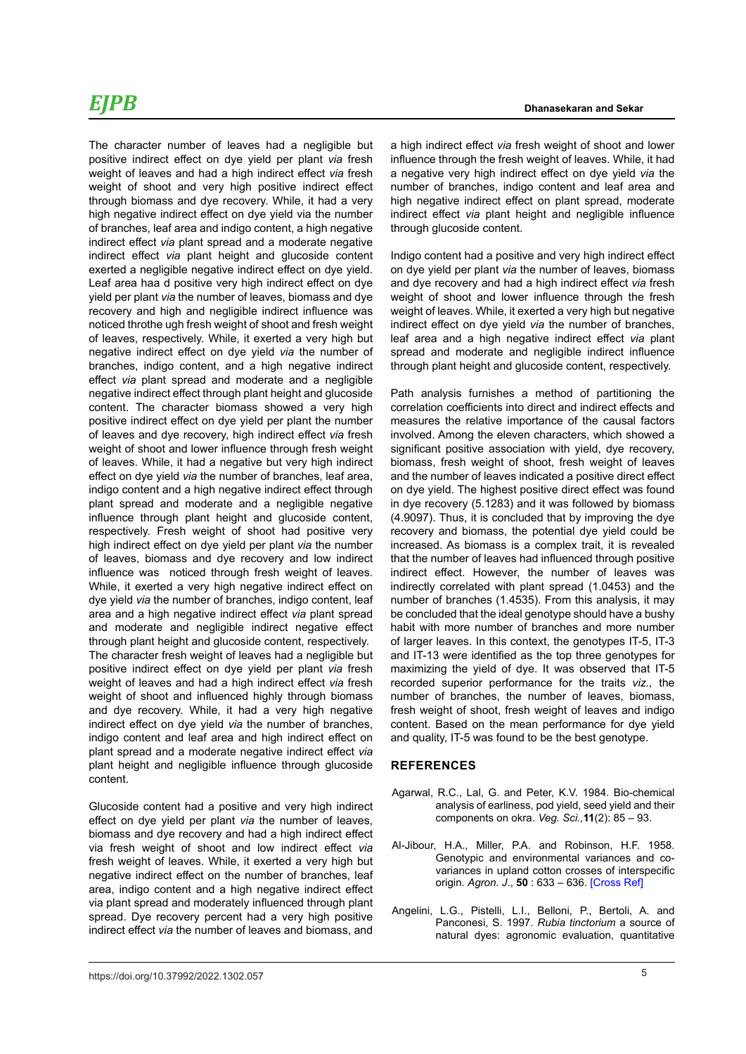# *EJPB*

The character number of leaves had a negligible but positive indirect effect on dye yield per plant *via* fresh weight of leaves and had a high indirect effect *via* fresh weight of shoot and very high positive indirect effect through biomass and dye recovery. While, it had a very high negative indirect effect on dye yield via the number of branches, leaf area and indigo content, a high negative indirect effect *via* plant spread and a moderate negative indirect effect *via* plant height and glucoside content exerted a negligible negative indirect effect on dye yield. Leaf area haa d positive very high indirect effect on dye yield per plant *via* the number of leaves, biomass and dye recovery and high and negligible indirect influence was noticed throthe ugh fresh weight of shoot and fresh weight of leaves, respectively. While, it exerted a very high but negative indirect effect on dye yield *via* the number of branches, indigo content, and a high negative indirect effect *via* plant spread and moderate and a negligible negative indirect effect through plant height and glucoside content. The character biomass showed a very high positive indirect effect on dye yield per plant the number of leaves and dye recovery, high indirect effect *via* fresh weight of shoot and lower influence through fresh weight of leaves. While, it had a negative but very high indirect effect on dye yield *via* the number of branches, leaf area, indigo content and a high negative indirect effect through plant spread and moderate and a negligible negative influence through plant height and glucoside content, respectively. Fresh weight of shoot had positive very high indirect effect on dye yield per plant *via* the number of leaves, biomass and dye recovery and low indirect influence was noticed through fresh weight of leaves. While, it exerted a very high negative indirect effect on dye yield *via* the number of branches, indigo content, leaf area and a high negative indirect effect *via* plant spread and moderate and negligible indirect negative effect through plant height and glucoside content, respectively. The character fresh weight of leaves had a negligible but positive indirect effect on dye yield per plant *via* fresh weight of leaves and had a high indirect effect *via* fresh weight of shoot and influenced highly through biomass and dye recovery. While, it had a very high negative indirect effect on dye yield *via* the number of branches, indigo content and leaf area and high indirect effect on plant spread and a moderate negative indirect effect *via* plant height and negligible influence through glucoside content.

Glucoside content had a positive and very high indirect effect on dye yield per plant *via* the number of leaves, biomass and dye recovery and had a high indirect effect via fresh weight of shoot and low indirect effect *via* fresh weight of leaves. While, it exerted a very high but negative indirect effect on the number of branches, leaf area, indigo content and a high negative indirect effect via plant spread and moderately influenced through plant spread. Dye recovery percent had a very high positive indirect effect *via* the number of leaves and biomass, and

a high indirect effect *via* fresh weight of shoot and lower influence through the fresh weight of leaves. While, it had a negative very high indirect effect on dye yield *via* the number of branches, indigo content and leaf area and high negative indirect effect on plant spread, moderate indirect effect *via* plant height and negligible influence through glucoside content.

Indigo content had a positive and very high indirect effect on dye yield per plant *via* the number of leaves, biomass and dye recovery and had a high indirect effect *via* fresh weight of shoot and lower influence through the fresh weight of leaves. While, it exerted a very high but negative indirect effect on dye yield *via* the number of branches, leaf area and a high negative indirect effect *via* plant spread and moderate and negligible indirect influence through plant height and glucoside content, respectively.

Path analysis furnishes a method of partitioning the correlation coefficients into direct and indirect effects and measures the relative importance of the causal factors involved. Among the eleven characters, which showed a significant positive association with yield, dye recovery, biomass, fresh weight of shoot, fresh weight of leaves and the number of leaves indicated a positive direct effect on dye yield. The highest positive direct effect was found in dye recovery (5.1283) and it was followed by biomass (4.9097). Thus, it is concluded that by improving the dye recovery and biomass, the potential dye yield could be increased. As biomass is a complex trait, it is revealed that the number of leaves had influenced through positive indirect effect. However, the number of leaves was indirectly correlated with plant spread (1.0453) and the number of branches (1.4535). From this analysis, it may be concluded that the ideal genotype should have a bushy habit with more number of branches and more number of larger leaves. In this context, the genotypes IT-5, IT-3 and IT-13 were identified as the top three genotypes for maximizing the yield of dye. It was observed that IT-5 recorded superior performance for the traits *viz.,* the number of branches, the number of leaves, biomass, fresh weight of shoot, fresh weight of leaves and indigo content. Based on the mean performance for dye yield and quality, IT-5 was found to be the best genotype.

#### **REFERENCES**

- Agarwal, R.C., Lal, G. and Peter, K.V. 1984. Bio-chemical analysis of earliness, pod yield, seed yield and their components on okra. *Veg. Sci.,***11**(2): 85 – 93.
- Al-Jibour, H.A., Miller, P.A. and Robinson, H.F. 1958. Genotypic and environmental variances and covariances in upland cotton crosses of interspecific origin. *Agron. J*., **50** : 633 – 636. [\[Cross Ref\]](https://doi.org/10.2134/agronj1958.00021962005000100020x)
- Angelini, L.G., Pistelli, L.I., Belloni, P., Bertoli, A. and Panconesi, S. 1997. *Rubia tinctorium* a source of natural dyes: agronomic evaluation, quantitative